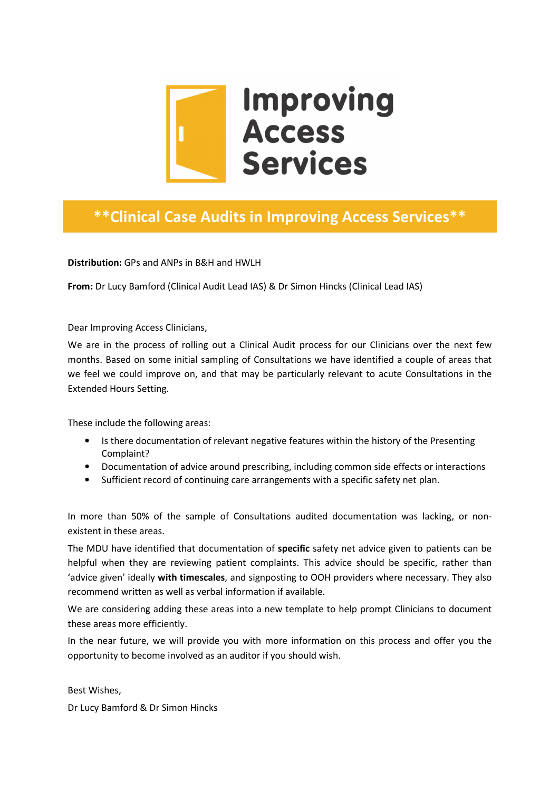

# \*\*Clinical Case Audits in Improving Access Services\*\*

Distribution: GPs and ANPs in B&H and HWLH

From: Dr Lucy Bamford (Clinical Audit Lead IAS) & Dr Simon Hincks (Clinical Lead IAS)

Dear Improving Access Clinicians,

We are in the process of rolling out a Clinical Audit process for our Clinicians over the next few months. Based on some initial sampling of Consultations we have identified a couple of areas that we feel we could improve on, and that may be particularly relevant to acute Consultations in the Extended Hours Setting.

These include the following areas:

- Is there documentation of relevant negative features within the history of the Presenting Complaint?
- Documentation of advice around prescribing, including common side effects or interactions
- Sufficient record of continuing care arrangements with a specific safety net plan.

In more than 50% of the sample of Consultations audited documentation was lacking, or nonexistent in these areas.

The MDU have identified that documentation of specific safety net advice given to patients can be helpful when they are reviewing patient complaints. This advice should be specific, rather than 'advice given' ideally with timescales, and signposting to OOH providers where necessary. They also recommend written as well as verbal information if available.

We are considering adding these areas into a new template to help prompt Clinicians to document these areas more efficiently.

In the near future, we will provide you with more information on this process and offer you the opportunity to become involved as an auditor if you should wish.

Best Wishes,

Dr Lucy Bamford & Dr Simon Hincks